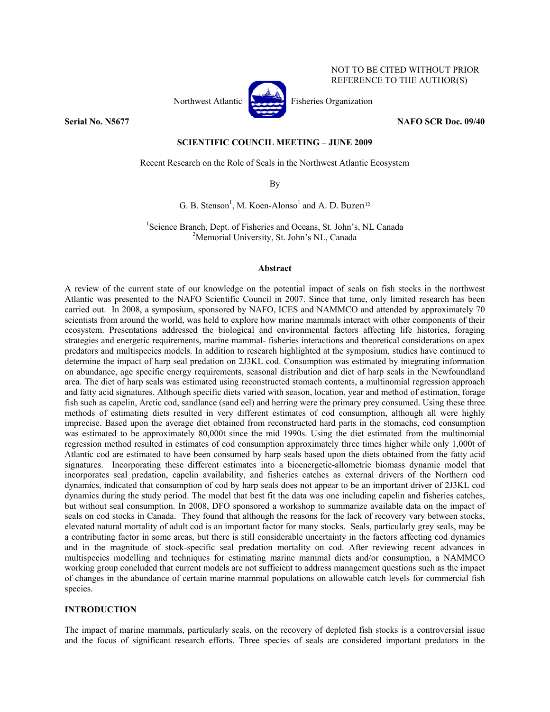

NOT TO BE CITED WITHOUT PRIOR REFERENCE TO THE AUTHOR(S)

### **Serial No. N5677** NAFO SCR Doc. 09/40

# **SCIENTIFIC COUNCIL MEETING – JUNE 2009**

Recent Research on the Role of Seals in the Northwest Atlantic Ecosystem

By

G. B. Stenson<sup>1</sup>, M. Koen-Alonso<sup>1</sup> and A. D. Buren<sup>12</sup>

<sup>1</sup>Science Branch, Dept. of Fisheries and Oceans, St. John's, NL Canada <sup>2</sup>Momenial University, St. John's NL Canada <sup>2</sup>Memorial University, St. John's NL, Canada

### **Abstract**

A review of the current state of our knowledge on the potential impact of seals on fish stocks in the northwest Atlantic was presented to the NAFO Scientific Council in 2007. Since that time, only limited research has been carried out. In 2008, a symposium, sponsored by NAFO, ICES and NAMMCO and attended by approximately 70 scientists from around the world, was held to explore how marine mammals interact with other components of their ecosystem. Presentations addressed the biological and environmental factors affecting life histories, foraging strategies and energetic requirements*,* marine mammal- fisheries interactions and theoretical considerations on apex predators and multispecies models. In addition to research highlighted at the symposium, studies have continued to determine the impact of harp seal predation on 2J3KL cod. Consumption was estimated by integrating information on abundance, age specific energy requirements, seasonal distribution and diet of harp seals in the Newfoundland area. The diet of harp seals was estimated using reconstructed stomach contents, a multinomial regression approach and fatty acid signatures. Although specific diets varied with season, location, year and method of estimation, forage fish such as capelin, Arctic cod, sandlance (sand eel) and herring were the primary prey consumed. Using these three methods of estimating diets resulted in very different estimates of cod consumption, although all were highly imprecise. Based upon the average diet obtained from reconstructed hard parts in the stomachs, cod consumption was estimated to be approximately 80,000t since the mid 1990s. Using the diet estimated from the multinomial regression method resulted in estimates of cod consumption approximately three times higher while only 1,000t of Atlantic cod are estimated to have been consumed by harp seals based upon the diets obtained from the fatty acid signatures. Incorporating these different estimates into a bioenergetic-allometric biomass dynamic model that incorporates seal predation, capelin availability, and fisheries catches as external drivers of the Northern cod dynamics, indicated that consumption of cod by harp seals does not appear to be an important driver of 2J3KL cod dynamics during the study period. The model that best fit the data was one including capelin and fisheries catches, but without seal consumption. In 2008, DFO sponsored a workshop to summarize available data on the impact of seals on cod stocks in Canada. They found that although the reasons for the lack of recovery vary between stocks, elevated natural mortality of adult cod is an important factor for many stocks. Seals, particularly grey seals, may be a contributing factor in some areas, but there is still considerable uncertainty in the factors affecting cod dynamics and in the magnitude of stock-specific seal predation mortality on cod. After reviewing recent advances in multispecies modelling and techniques for estimating marine mammal diets and/or consumption, a NAMMCO working group concluded that current models are not sufficient to address management questions such as the impact of changes in the abundance of certain marine mammal populations on allowable catch levels for commercial fish species.

## **INTRODUCTION**

The impact of marine mammals, particularly seals, on the recovery of depleted fish stocks is a controversial issue and the focus of significant research efforts. Three species of seals are considered important predators in the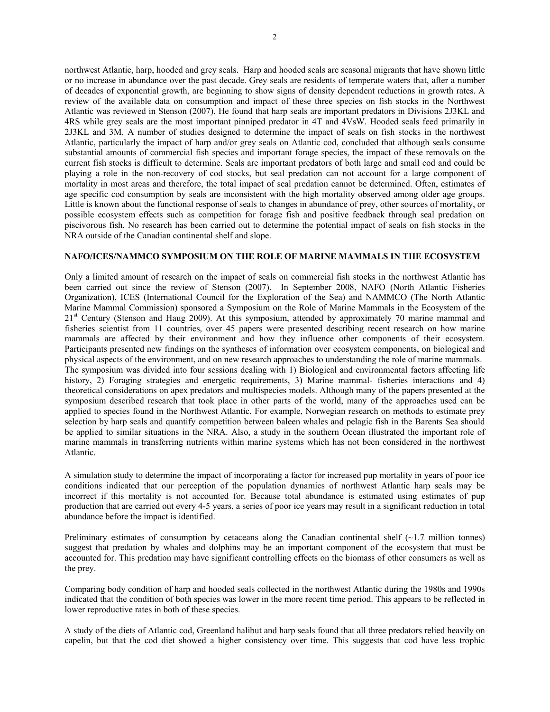northwest Atlantic, harp, hooded and grey seals. Harp and hooded seals are seasonal migrants that have shown little or no increase in abundance over the past decade. Grey seals are residents of temperate waters that, after a number of decades of exponential growth, are beginning to show signs of density dependent reductions in growth rates. A review of the available data on consumption and impact of these three species on fish stocks in the Northwest Atlantic was reviewed in Stenson (2007). He found that harp seals are important predators in Divisions 2J3KL and 4RS while grey seals are the most important pinniped predator in 4T and 4VsW. Hooded seals feed primarily in 2J3KL and 3M. A number of studies designed to determine the impact of seals on fish stocks in the northwest Atlantic, particularly the impact of harp and/or grey seals on Atlantic cod, concluded that although seals consume substantial amounts of commercial fish species and important forage species, the impact of these removals on the current fish stocks is difficult to determine. Seals are important predators of both large and small cod and could be playing a role in the non-recovery of cod stocks, but seal predation can not account for a large component of mortality in most areas and therefore, the total impact of seal predation cannot be determined. Often, estimates of age specific cod consumption by seals are inconsistent with the high mortality observed among older age groups. Little is known about the functional response of seals to changes in abundance of prey, other sources of mortality, or possible ecosystem effects such as competition for forage fish and positive feedback through seal predation on piscivorous fish. No research has been carried out to determine the potential impact of seals on fish stocks in the NRA outside of the Canadian continental shelf and slope.

## **NAFO/ICES/NAMMCO SYMPOSIUM ON THE ROLE OF MARINE MAMMALS IN THE ECOSYSTEM**

Only a limited amount of research on the impact of seals on commercial fish stocks in the northwest Atlantic has been carried out since the review of Stenson (2007). In September 2008, NAFO (North Atlantic Fisheries Organization), ICES (International Council for the Exploration of the Sea) and NAMMCO (The North Atlantic Marine Mammal Commission) sponsored a Symposium on the Role of Marine Mammals in the Ecosystem of the 21<sup>st</sup> Century (Stenson and Haug 2009). At this symposium, attended by approximately 70 marine mammal and fisheries scientist from 11 countries, over 45 papers were presented describing recent research on how marine mammals are affected by their environment and how they influence other components of their ecosystem. Participants presented new findings on the syntheses of information over ecosystem components, on biological and physical aspects of the environment, and on new research approaches to understanding the role of marine mammals. The symposium was divided into four sessions dealing with 1) Biological and environmental factors affecting life history, 2) Foraging strategies and energetic requirements, 3) Marine mammal- fisheries interactions and 4) theoretical considerations on apex predators and multispecies models. Although many of the papers presented at the symposium described research that took place in other parts of the world, many of the approaches used can be applied to species found in the Northwest Atlantic. For example, Norwegian research on methods to estimate prey selection by harp seals and quantify competition between baleen whales and pelagic fish in the Barents Sea should be applied to similar situations in the NRA. Also, a study in the southern Ocean illustrated the important role of marine mammals in transferring nutrients within marine systems which has not been considered in the northwest Atlantic.

A simulation study to determine the impact of incorporating a factor for increased pup mortality in years of poor ice conditions indicated that our perception of the population dynamics of northwest Atlantic harp seals may be incorrect if this mortality is not accounted for. Because total abundance is estimated using estimates of pup production that are carried out every 4-5 years, a series of poor ice years may result in a significant reduction in total abundance before the impact is identified.

Preliminary estimates of consumption by cetaceans along the Canadian continental shelf  $(\sim 1.7$  million tonnes) suggest that predation by whales and dolphins may be an important component of the ecosystem that must be accounted for. This predation may have significant controlling effects on the biomass of other consumers as well as the prey.

Comparing body condition of harp and hooded seals collected in the northwest Atlantic during the 1980s and 1990s indicated that the condition of both species was lower in the more recent time period. This appears to be reflected in lower reproductive rates in both of these species.

A study of the diets of Atlantic cod, Greenland halibut and harp seals found that all three predators relied heavily on capelin, but that the cod diet showed a higher consistency over time. This suggests that cod have less trophic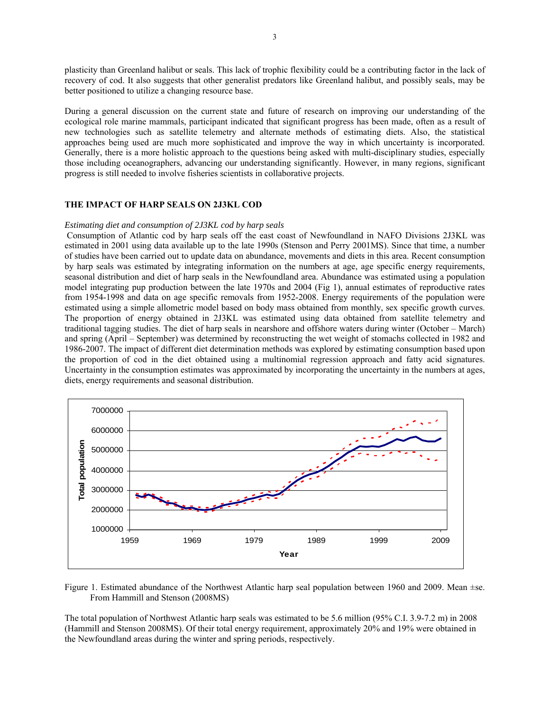plasticity than Greenland halibut or seals. This lack of trophic flexibility could be a contributing factor in the lack of recovery of cod. It also suggests that other generalist predators like Greenland halibut, and possibly seals, may be better positioned to utilize a changing resource base.

During a general discussion on the current state and future of research on improving our understanding of the ecological role marine mammals, participant indicated that significant progress has been made, often as a result of new technologies such as satellite telemetry and alternate methods of estimating diets. Also, the statistical approaches being used are much more sophisticated and improve the way in which uncertainty is incorporated. Generally, there is a more holistic approach to the questions being asked with multi-disciplinary studies, especially those including oceanographers, advancing our understanding significantly. However, in many regions, significant progress is still needed to involve fisheries scientists in collaborative projects.

## **THE IMPACT OF HARP SEALS ON 2J3KL COD**

#### *Estimating diet and consumption of 2J3KL cod by harp seals*

 Consumption of Atlantic cod by harp seals off the east coast of Newfoundland in NAFO Divisions 2J3KL was estimated in 2001 using data available up to the late 1990s (Stenson and Perry 2001MS). Since that time, a number of studies have been carried out to update data on abundance, movements and diets in this area. Recent consumption by harp seals was estimated by integrating information on the numbers at age, age specific energy requirements, seasonal distribution and diet of harp seals in the Newfoundland area. Abundance was estimated using a population model integrating pup production between the late 1970s and 2004 (Fig 1), annual estimates of reproductive rates from 1954-1998 and data on age specific removals from 1952-2008. Energy requirements of the population were estimated using a simple allometric model based on body mass obtained from monthly, sex specific growth curves. The proportion of energy obtained in 2J3KL was estimated using data obtained from satellite telemetry and traditional tagging studies. The diet of harp seals in nearshore and offshore waters during winter (October – March) and spring (April – September) was determined by reconstructing the wet weight of stomachs collected in 1982 and 1986-2007. The impact of different diet determination methods was explored by estimating consumption based upon the proportion of cod in the diet obtained using a multinomial regression approach and fatty acid signatures. Uncertainty in the consumption estimates was approximated by incorporating the uncertainty in the numbers at ages, diets, energy requirements and seasonal distribution.



Figure 1. Estimated abundance of the Northwest Atlantic harp seal population between 1960 and 2009. Mean ±se. From Hammill and Stenson (2008MS)

The total population of Northwest Atlantic harp seals was estimated to be 5.6 million (95% C.I. 3.9-7.2 m) in 2008 (Hammill and Stenson 2008MS). Of their total energy requirement, approximately 20% and 19% were obtained in the Newfoundland areas during the winter and spring periods, respectively.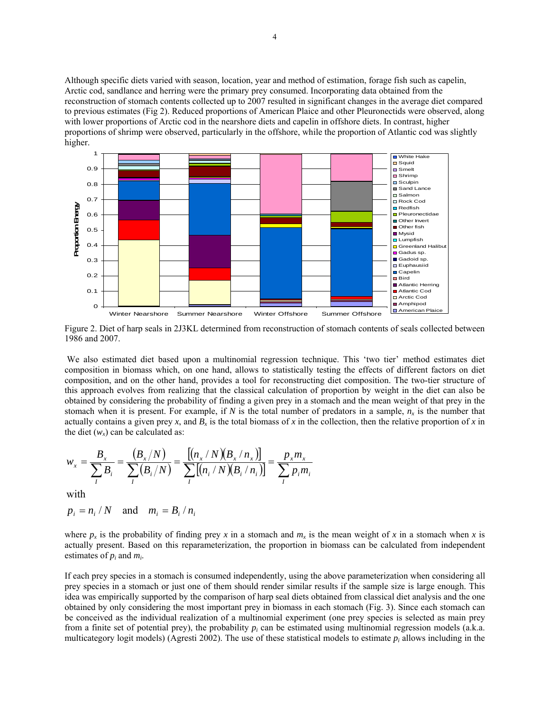Although specific diets varied with season, location, year and method of estimation, forage fish such as capelin, Arctic cod, sandlance and herring were the primary prey consumed. Incorporating data obtained from the reconstruction of stomach contents collected up to 2007 resulted in significant changes in the average diet compared to previous estimates (Fig 2). Reduced proportions of American Plaice and other Pleuronectids were observed, along with lower proportions of Arctic cod in the nearshore diets and capelin in offshore diets. In contrast, higher proportions of shrimp were observed, particularly in the offshore, while the proportion of Atlantic cod was slightly higher.



Figure 2. Diet of harp seals in 2J3KL determined from reconstruction of stomach contents of seals collected between 1986 and 2007.

 We also estimated diet based upon a multinomial regression technique. This 'two tier' method estimates diet composition in biomass which, on one hand, allows to statistically testing the effects of different factors on diet composition, and on the other hand, provides a tool for reconstructing diet composition. The two-tier structure of this approach evolves from realizing that the classical calculation of proportion by weight in the diet can also be obtained by considering the probability of finding a given prey in a stomach and the mean weight of that prey in the stomach when it is present. For example, if  $N$  is the total number of predators in a sample,  $n_x$  is the number that actually contains a given prey x, and  $B_x$  is the total biomass of x in the collection, then the relative proportion of x in the diet  $(w_x)$  can be calculated as:

$$
w_x = \frac{B_x}{\sum_{i} B_i} = \frac{(B_x/N)}{\sum_{i} (B_i/N)} = \frac{[(n_x/N)(B_x/n_x)]}{\sum_{i} [(n_i/N)(B_i/n_i)]} = \frac{p_x m_x}{\sum_{i} p_i m_i}
$$

with

$$
p_i = n_i / N \quad \text{and} \quad m_i = B_i / n_i
$$

where  $p_x$  is the probability of finding prey x in a stomach and  $m_x$  is the mean weight of x in a stomach when x is actually present. Based on this reparameterization, the proportion in biomass can be calculated from independent estimates of *pi* and *mi*.

If each prey species in a stomach is consumed independently, using the above parameterization when considering all prey species in a stomach or just one of them should render similar results if the sample size is large enough. This idea was empirically supported by the comparison of harp seal diets obtained from classical diet analysis and the one obtained by only considering the most important prey in biomass in each stomach (Fig. 3). Since each stomach can be conceived as the individual realization of a multinomial experiment (one prey species is selected as main prey from a finite set of potential prey), the probability *pi* can be estimated using multinomial regression models (a.k.a. multicategory logit models) (Agresti 2002). The use of these statistical models to estimate  $p_i$  allows including in the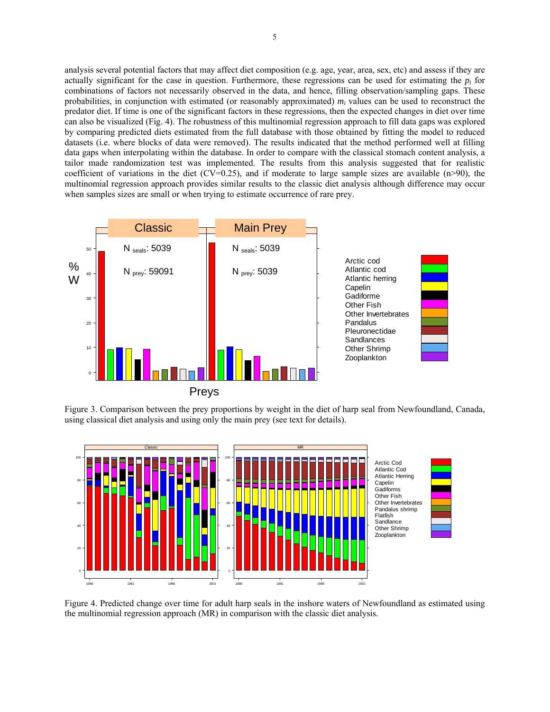analysis several potential factors that may affect diet composition (e.g. age, year, area, sex, etc) and assess if they are actually significant for the case in question. Furthermore, these regressions can be used for estimating the  $p_i$  for combinations of factors not necessarily observed in the data, and hence, filling observation/sampling gaps. These probabilities, in conjunction with estimated (or reasonably approximated)  $m_i$  values can be used to reconstruct the predator diet. If time is one of the significant factors in these regressions, then the expected changes in diet over time can also be visualized (Fig. 4). The robustness of this multinomial regression approach to fill data gaps was explored by comparing predicted diets estimated from the full database with those obtained by fitting the model to reduced datasets (i.e. where blocks of data were removed). The results indicated that the method performed well at filling data gaps when interpolating within the database. In order to compare with the classical stomach content analysis, a tailor made randomization test was implemented. The results from this analysis suggested that for realistic coefficient of variations in the diet (CV=0.25), and if moderate to large sample sizes are available  $(n>90)$ , the multinomial regression approach provides similar results to the classic diet analysis although difference may occur when samples sizes are small or when trying to estimate occurrence of rare prey.



Figure 3. Comparison between the prey proportions by weight in the diet of harp seal from Newfoundland, Canada, using classical diet analysis and using only the main prey (see text for details).



Figure 4. Predicted change over time for adult harp seals in the inshore waters of Newfoundland as estimated using the multinomial regression approach (MR) in comparison with the classic diet analysis.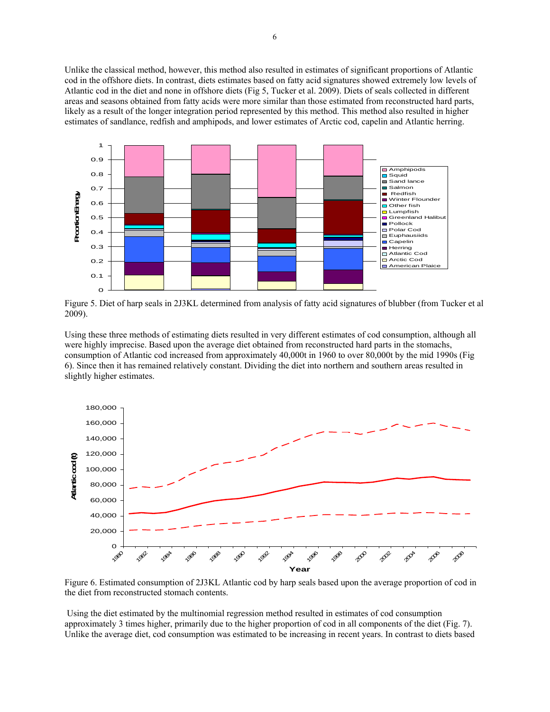Unlike the classical method, however, this method also resulted in estimates of significant proportions of Atlantic cod in the offshore diets. In contrast, diets estimates based on fatty acid signatures showed extremely low levels of Atlantic cod in the diet and none in offshore diets (Fig 5, Tucker et al. 2009). Diets of seals collected in different areas and seasons obtained from fatty acids were more similar than those estimated from reconstructed hard parts, likely as a result of the longer integration period represented by this method. This method also resulted in higher estimates of sandlance, redfish and amphipods, and lower estimates of Arctic cod, capelin and Atlantic herring.



Figure 5. Diet of harp seals in 2J3KL determined from analysis of fatty acid signatures of blubber (from Tucker et al 2009).

Using these three methods of estimating diets resulted in very different estimates of cod consumption, although all were highly imprecise. Based upon the average diet obtained from reconstructed hard parts in the stomachs, consumption of Atlantic cod increased from approximately 40,000t in 1960 to over 80,000t by the mid 1990s (Fig 6). Since then it has remained relatively constant. Dividing the diet into northern and southern areas resulted in slightly higher estimates.



Figure 6. Estimated consumption of 2J3KL Atlantic cod by harp seals based upon the average proportion of cod in the diet from reconstructed stomach contents.

 Using the diet estimated by the multinomial regression method resulted in estimates of cod consumption approximately 3 times higher, primarily due to the higher proportion of cod in all components of the diet (Fig. 7). Unlike the average diet, cod consumption was estimated to be increasing in recent years. In contrast to diets based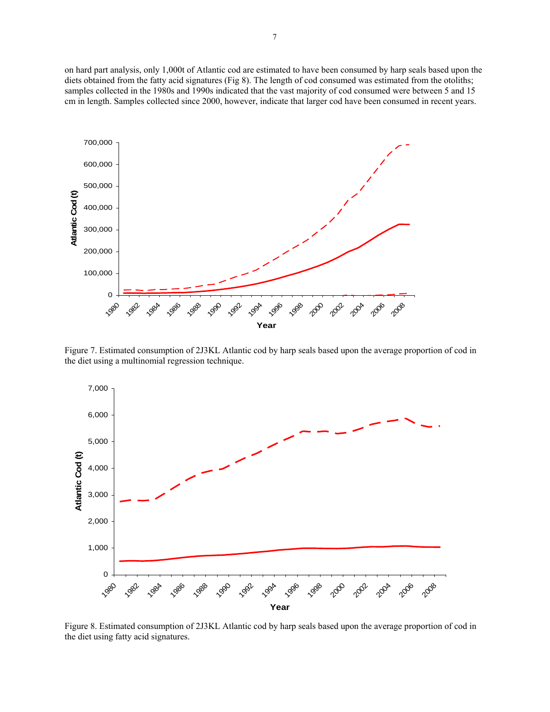on hard part analysis, only 1,000t of Atlantic cod are estimated to have been consumed by harp seals based upon the diets obtained from the fatty acid signatures (Fig 8). The length of cod consumed was estimated from the otoliths; samples collected in the 1980s and 1990s indicated that the vast majority of cod consumed were between 5 and 15 cm in length. Samples collected since 2000, however, indicate that larger cod have been consumed in recent years.



Figure 7. Estimated consumption of 2J3KL Atlantic cod by harp seals based upon the average proportion of cod in the diet using a multinomial regression technique.



Figure 8. Estimated consumption of 2J3KL Atlantic cod by harp seals based upon the average proportion of cod in the diet using fatty acid signatures.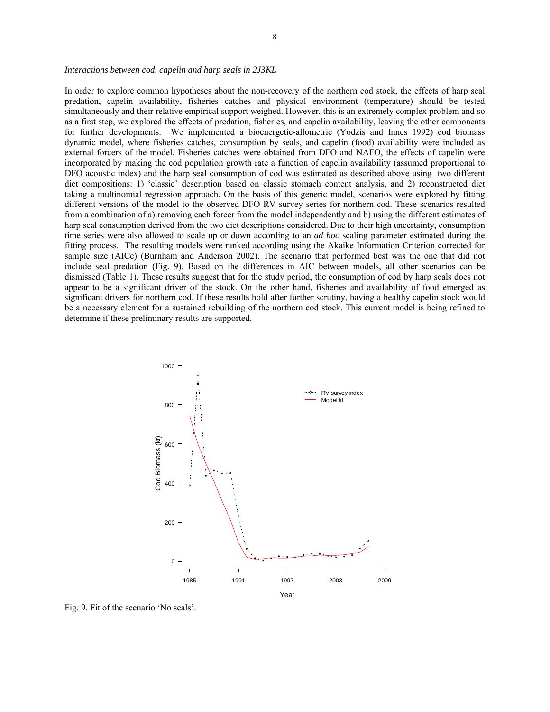### *Interactions between cod, capelin and harp seals in 2J3KL*

In order to explore common hypotheses about the non-recovery of the northern cod stock, the effects of harp seal predation, capelin availability, fisheries catches and physical environment (temperature) should be tested simultaneously and their relative empirical support weighed. However, this is an extremely complex problem and so as a first step, we explored the effects of predation, fisheries, and capelin availability, leaving the other components for further developments. We implemented a bioenergetic-allometric (Yodzis and Innes 1992) cod biomass dynamic model, where fisheries catches, consumption by seals, and capelin (food) availability were included as external forcers of the model. Fisheries catches were obtained from DFO and NAFO, the effects of capelin were incorporated by making the cod population growth rate a function of capelin availability (assumed proportional to DFO acoustic index) and the harp seal consumption of cod was estimated as described above using two different diet compositions: 1) 'classic' description based on classic stomach content analysis, and 2) reconstructed diet taking a multinomial regression approach. On the basis of this generic model, scenarios were explored by fitting different versions of the model to the observed DFO RV survey series for northern cod. These scenarios resulted from a combination of a) removing each forcer from the model independently and b) using the different estimates of harp seal consumption derived from the two diet descriptions considered. Due to their high uncertainty, consumption time series were also allowed to scale up or down according to an *ad hoc* scaling parameter estimated during the fitting process. The resulting models were ranked according using the Akaike Information Criterion corrected for sample size (AICc) (Burnham and Anderson 2002). The scenario that performed best was the one that did not include seal predation (Fig. 9). Based on the differences in AIC between models, all other scenarios can be dismissed (Table 1). These results suggest that for the study period, the consumption of cod by harp seals does not appear to be a significant driver of the stock. On the other hand, fisheries and availability of food emerged as significant drivers for northern cod. If these results hold after further scrutiny, having a healthy capelin stock would be a necessary element for a sustained rebuilding of the northern cod stock. This current model is being refined to determine if these preliminary results are supported.



Fig. 9. Fit of the scenario 'No seals'.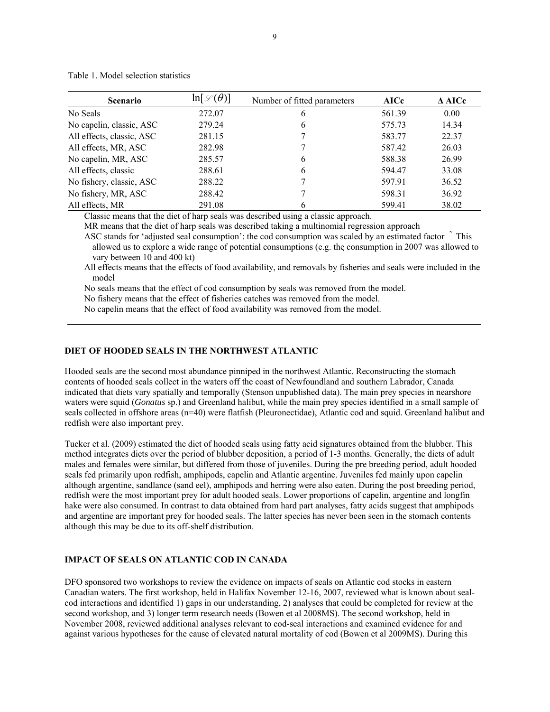| <b>Scenario</b>           | $\ln[\mathcal{L}(\theta)]$ | Number of fitted parameters | <b>AICc</b> | $\triangle$ AICc |
|---------------------------|----------------------------|-----------------------------|-------------|------------------|
| No Seals                  | 272.07                     | 6                           | 561.39      | 0.00             |
| No capelin, classic, ASC  | 279.24                     | 6                           | 575.73      | 14.34            |
| All effects, classic, ASC | 281.15                     |                             | 583.77      | 22.37            |
| All effects, MR, ASC      | 282.98                     |                             | 587.42      | 26.03            |
| No capelin, MR, ASC       | 285.57                     | 6                           | 588.38      | 26.99            |
| All effects, classic      | 288.61                     | 6                           | 594.47      | 33.08            |
| No fishery, classic, ASC  | 288.22                     |                             | 597.91      | 36.52            |
| No fishery, MR, ASC       | 288.42                     |                             | 598.31      | 36.92            |
| All effects, MR           | 291.08                     | 6                           | 599.41      | 38.02            |

Table 1. Model selection statistics

Classic means that the diet of harp seals was described using a classic approach.

MR means that the diet of harp seals was described taking a multinomial regression approach

ASC stands for 'adjusted seal consumption': the cod consumption was scaled by an estimated factor  $\tilde{ }$  This allowed us to explore a wide range of potential consumptions (e.g. the consumption in 2007 was allowed to vary between 10 and 400 kt)

All effects means that the effects of food availability, and removals by fisheries and seals were included in the model

No seals means that the effect of cod consumption by seals was removed from the model.

No fishery means that the effect of fisheries catches was removed from the model.

No capelin means that the effect of food availability was removed from the model.

## **DIET OF HOODED SEALS IN THE NORTHWEST ATLANTIC**

Hooded seals are the second most abundance pinniped in the northwest Atlantic. Reconstructing the stomach contents of hooded seals collect in the waters off the coast of Newfoundland and southern Labrador, Canada indicated that diets vary spatially and temporally (Stenson unpublished data). The main prey species in nearshore waters were squid (*Gonatus* sp.) and Greenland halibut, while the main prey species identified in a small sample of seals collected in offshore areas (n=40) were flatfish (Pleuronectidae), Atlantic cod and squid. Greenland halibut and redfish were also important prey.

Tucker et al. (2009) estimated the diet of hooded seals using fatty acid signatures obtained from the blubber. This method integrates diets over the period of blubber deposition, a period of 1-3 months. Generally, the diets of adult males and females were similar, but differed from those of juveniles. During the pre breeding period, adult hooded seals fed primarily upon redfish, amphipods, capelin and Atlantic argentine. Juveniles fed mainly upon capelin although argentine, sandlance (sand eel), amphipods and herring were also eaten. During the post breeding period, redfish were the most important prey for adult hooded seals. Lower proportions of capelin, argentine and longfin hake were also consumed. In contrast to data obtained from hard part analyses, fatty acids suggest that amphipods and argentine are important prey for hooded seals. The latter species has never been seen in the stomach contents although this may be due to its off-shelf distribution.

# **IMPACT OF SEALS ON ATLANTIC COD IN CANADA**

DFO sponsored two workshops to review the evidence on impacts of seals on Atlantic cod stocks in eastern Canadian waters. The first workshop, held in Halifax November 12-16, 2007, reviewed what is known about sealcod interactions and identified 1) gaps in our understanding, 2) analyses that could be completed for review at the second workshop, and 3) longer term research needs (Bowen et al 2008MS). The second workshop, held in November 2008, reviewed additional analyses relevant to cod-seal interactions and examined evidence for and against various hypotheses for the cause of elevated natural mortality of cod (Bowen et al 2009MS). During this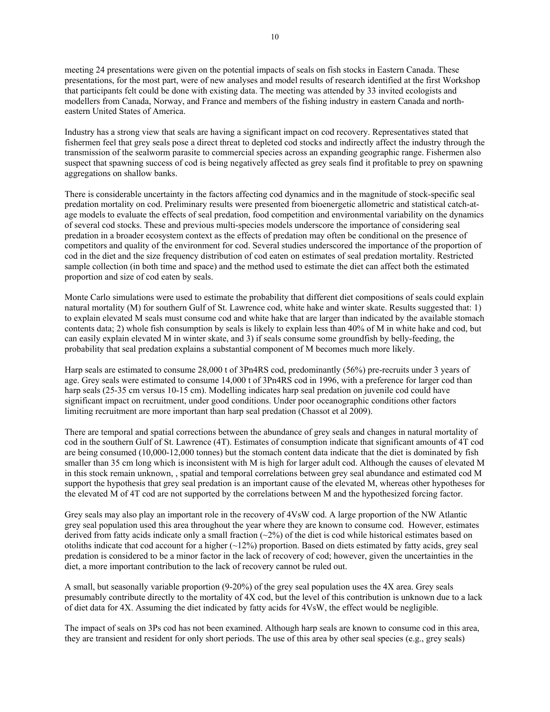meeting 24 presentations were given on the potential impacts of seals on fish stocks in Eastern Canada. These presentations, for the most part, were of new analyses and model results of research identified at the first Workshop that participants felt could be done with existing data. The meeting was attended by 33 invited ecologists and modellers from Canada, Norway, and France and members of the fishing industry in eastern Canada and northeastern United States of America.

Industry has a strong view that seals are having a significant impact on cod recovery. Representatives stated that fishermen feel that grey seals pose a direct threat to depleted cod stocks and indirectly affect the industry through the transmission of the sealworm parasite to commercial species across an expanding geographic range. Fishermen also suspect that spawning success of cod is being negatively affected as grey seals find it profitable to prey on spawning aggregations on shallow banks.

There is considerable uncertainty in the factors affecting cod dynamics and in the magnitude of stock-specific seal predation mortality on cod. Preliminary results were presented from bioenergetic allometric and statistical catch-atage models to evaluate the effects of seal predation, food competition and environmental variability on the dynamics of several cod stocks. These and previous multi-species models underscore the importance of considering seal predation in a broader ecosystem context as the effects of predation may often be conditional on the presence of competitors and quality of the environment for cod. Several studies underscored the importance of the proportion of cod in the diet and the size frequency distribution of cod eaten on estimates of seal predation mortality. Restricted sample collection (in both time and space) and the method used to estimate the diet can affect both the estimated proportion and size of cod eaten by seals.

Monte Carlo simulations were used to estimate the probability that different diet compositions of seals could explain natural mortality (M) for southern Gulf of St. Lawrence cod, white hake and winter skate. Results suggested that: 1) to explain elevated M seals must consume cod and white hake that are larger than indicated by the available stomach contents data; 2) whole fish consumption by seals is likely to explain less than 40% of M in white hake and cod, but can easily explain elevated M in winter skate, and 3) if seals consume some groundfish by belly-feeding, the probability that seal predation explains a substantial component of M becomes much more likely.

Harp seals are estimated to consume 28,000 t of 3Pn4RS cod, predominantly (56%) pre-recruits under 3 years of age. Grey seals were estimated to consume 14,000 t of 3Pn4RS cod in 1996, with a preference for larger cod than harp seals (25-35 cm versus 10-15 cm). Modelling indicates harp seal predation on juvenile cod could have significant impact on recruitment, under good conditions. Under poor oceanographic conditions other factors limiting recruitment are more important than harp seal predation (Chassot et al 2009).

There are temporal and spatial corrections between the abundance of grey seals and changes in natural mortality of cod in the southern Gulf of St. Lawrence (4T). Estimates of consumption indicate that significant amounts of 4T cod are being consumed (10,000-12,000 tonnes) but the stomach content data indicate that the diet is dominated by fish smaller than 35 cm long which is inconsistent with M is high for larger adult cod. Although the causes of elevated M in this stock remain unknown, , spatial and temporal correlations between grey seal abundance and estimated cod M support the hypothesis that grey seal predation is an important cause of the elevated M, whereas other hypotheses for the elevated M of 4T cod are not supported by the correlations between M and the hypothesized forcing factor.

Grey seals may also play an important role in the recovery of 4VsW cod. A large proportion of the NW Atlantic grey seal population used this area throughout the year where they are known to consume cod. However, estimates derived from fatty acids indicate only a small fraction  $(\sim 2\%)$  of the diet is cod while historical estimates based on otoliths indicate that cod account for a higher  $(\sim 12\%)$  proportion. Based on diets estimated by fatty acids, grey seal predation is considered to be a minor factor in the lack of recovery of cod; however, given the uncertainties in the diet, a more important contribution to the lack of recovery cannot be ruled out.

A small, but seasonally variable proportion (9-20%) of the grey seal population uses the 4X area. Grey seals presumably contribute directly to the mortality of 4X cod, but the level of this contribution is unknown due to a lack of diet data for 4X. Assuming the diet indicated by fatty acids for 4VsW, the effect would be negligible.

The impact of seals on 3Ps cod has not been examined. Although harp seals are known to consume cod in this area, they are transient and resident for only short periods. The use of this area by other seal species (e.g., grey seals)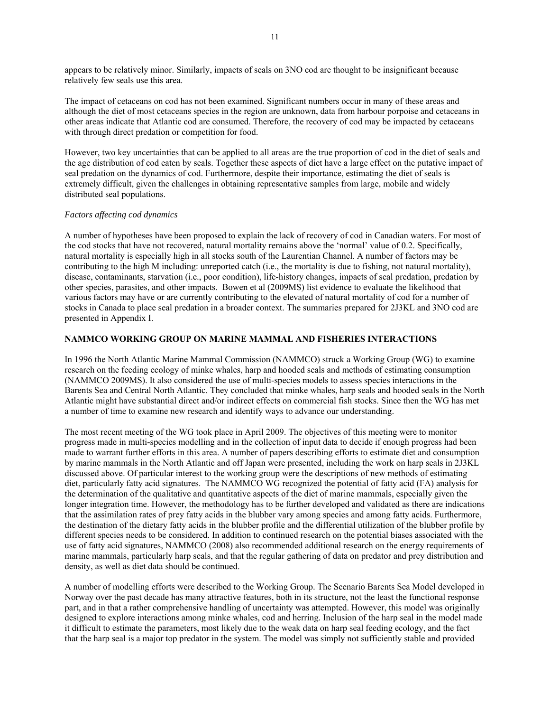appears to be relatively minor. Similarly, impacts of seals on 3NO cod are thought to be insignificant because relatively few seals use this area.

The impact of cetaceans on cod has not been examined. Significant numbers occur in many of these areas and although the diet of most cetaceans species in the region are unknown, data from harbour porpoise and cetaceans in other areas indicate that Atlantic cod are consumed. Therefore, the recovery of cod may be impacted by cetaceans with through direct predation or competition for food.

However, two key uncertainties that can be applied to all areas are the true proportion of cod in the diet of seals and the age distribution of cod eaten by seals. Together these aspects of diet have a large effect on the putative impact of seal predation on the dynamics of cod. Furthermore, despite their importance, estimating the diet of seals is extremely difficult, given the challenges in obtaining representative samples from large, mobile and widely distributed seal populations.

## *Factors affecting cod dynamics*

A number of hypotheses have been proposed to explain the lack of recovery of cod in Canadian waters. For most of the cod stocks that have not recovered, natural mortality remains above the 'normal' value of 0.2. Specifically, natural mortality is especially high in all stocks south of the Laurentian Channel. A number of factors may be contributing to the high M including: unreported catch (i.e., the mortality is due to fishing, not natural mortality), disease, contaminants, starvation (i.e., poor condition), life-history changes, impacts of seal predation, predation by other species, parasites, and other impacts. Bowen et al (2009MS) list evidence to evaluate the likelihood that various factors may have or are currently contributing to the elevated of natural mortality of cod for a number of stocks in Canada to place seal predation in a broader context. The summaries prepared for 2J3KL and 3NO cod are presented in Appendix I.

# **NAMMCO WORKING GROUP ON MARINE MAMMAL AND FISHERIES INTERACTIONS**

In 1996 the North Atlantic Marine Mammal Commission (NAMMCO) struck a Working Group (WG) to examine research on the feeding ecology of minke whales, harp and hooded seals and methods of estimating consumption (NAMMCO 2009MS). It also considered the use of multi-species models to assess species interactions in the Barents Sea and Central North Atlantic. They concluded that minke whales, harp seals and hooded seals in the North Atlantic might have substantial direct and/or indirect effects on commercial fish stocks. Since then the WG has met a number of time to examine new research and identify ways to advance our understanding.

The most recent meeting of the WG took place in April 2009. The objectives of this meeting were to monitor progress made in multi-species modelling and in the collection of input data to decide if enough progress had been made to warrant further efforts in this area. A number of papers describing efforts to estimate diet and consumption by marine mammals in the North Atlantic and off Japan were presented, including the work on harp seals in 2J3KL discussed above. Of particular interest to the working group were the descriptions of new methods of estimating diet, particularly fatty acid signatures. The NAMMCO WG recognized the potential of fatty acid (FA) analysis for the determination of the qualitative and quantitative aspects of the diet of marine mammals, especially given the longer integration time. However, the methodology has to be further developed and validated as there are indications that the assimilation rates of prey fatty acids in the blubber vary among species and among fatty acids. Furthermore, the destination of the dietary fatty acids in the blubber profile and the differential utilization of the blubber profile by different species needs to be considered. In addition to continued research on the potential biases associated with the use of fatty acid signatures, NAMMCO (2008) also recommended additional research on the energy requirements of marine mammals, particularly harp seals, and that the regular gathering of data on predator and prey distribution and density, as well as diet data should be continued.

A number of modelling efforts were described to the Working Group. The Scenario Barents Sea Model developed in Norway over the past decade has many attractive features, both in its structure, not the least the functional response part, and in that a rather comprehensive handling of uncertainty was attempted. However, this model was originally designed to explore interactions among minke whales, cod and herring. Inclusion of the harp seal in the model made it difficult to estimate the parameters, most likely due to the weak data on harp seal feeding ecology, and the fact that the harp seal is a major top predator in the system. The model was simply not sufficiently stable and provided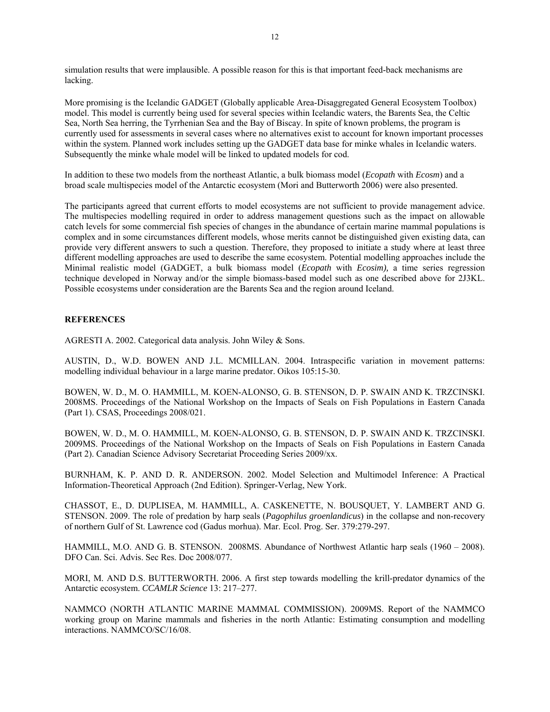simulation results that were implausible. A possible reason for this is that important feed-back mechanisms are lacking.

More promising is the Icelandic GADGET (Globally applicable Area-Disaggregated General Ecosystem Toolbox) model. This model is currently being used for several species within Icelandic waters, the Barents Sea, the Celtic Sea, North Sea herring, the Tyrrhenian Sea and the Bay of Biscay. In spite of known problems, the program is currently used for assessments in several cases where no alternatives exist to account for known important processes within the system. Planned work includes setting up the GADGET data base for minke whales in Icelandic waters. Subsequently the minke whale model will be linked to updated models for cod.

In addition to these two models from the northeast Atlantic, a bulk biomass model (*Ecopath* with *Ecosm*) and a broad scale multispecies model of the Antarctic ecosystem (Mori and Butterworth 2006) were also presented.

The participants agreed that current efforts to model ecosystems are not sufficient to provide management advice. The multispecies modelling required in order to address management questions such as the impact on allowable catch levels for some commercial fish species of changes in the abundance of certain marine mammal populations is complex and in some circumstances different models, whose merits cannot be distinguished given existing data, can provide very different answers to such a question. Therefore, they proposed to initiate a study where at least three different modelling approaches are used to describe the same ecosystem. Potential modelling approaches include the Minimal realistic model (GADGET, a bulk biomass model (*Ecopath* with *Ecosim),* a time series regression technique developed in Norway and/or the simple biomass-based model such as one described above for 2J3KL. Possible ecosystems under consideration are the Barents Sea and the region around Iceland.

## **REFERENCES**

AGRESTI A. 2002. Categorical data analysis. John Wiley & Sons.

AUSTIN, D., W.D. BOWEN AND J.L. MCMILLAN. 2004. Intraspecific variation in movement patterns: modelling individual behaviour in a large marine predator. Oikos 105:15-30.

BOWEN, W. D., M. O. HAMMILL, M. KOEN-ALONSO, G. B. STENSON, D. P. SWAIN AND K. TRZCINSKI. 2008MS. Proceedings of the National Workshop on the Impacts of Seals on Fish Populations in Eastern Canada (Part 1). CSAS, Proceedings 2008/021.

BOWEN, W. D., M. O. HAMMILL, M. KOEN-ALONSO, G. B. STENSON, D. P. SWAIN AND K. TRZCINSKI. 2009MS. Proceedings of the National Workshop on the Impacts of Seals on Fish Populations in Eastern Canada (Part 2). Canadian Science Advisory Secretariat Proceeding Series 2009/xx.

BURNHAM, K. P. AND D. R. ANDERSON. 2002. Model Selection and Multimodel Inference: A Practical Information-Theoretical Approach (2nd Edition). Springer-Verlag, New York.

CHASSOT, E., D. DUPLISEA, M. HAMMILL, A. CASKENETTE, N. BOUSQUET, Y. LAMBERT AND G. STENSON. 2009. The role of predation by harp seals (*Pagophilus groenlandicus*) in the collapse and non-recovery of northern Gulf of St. Lawrence cod (Gadus morhua). Mar. Ecol. Prog. Ser. 379:279-297.

HAMMILL, M.O. AND G. B. STENSON. 2008MS. Abundance of Northwest Atlantic harp seals (1960 – 2008). DFO Can. Sci. Advis. Sec Res. Doc 2008/077.

MORI, M. AND D.S. BUTTERWORTH. 2006. A first step towards modelling the krill-predator dynamics of the Antarctic ecosystem. *CCAMLR Science* 13: 217–277.

NAMMCO (NORTH ATLANTIC MARINE MAMMAL COMMISSION). 2009MS. Report of the NAMMCO working group on Marine mammals and fisheries in the north Atlantic: Estimating consumption and modelling interactions. NAMMCO/SC/16/08.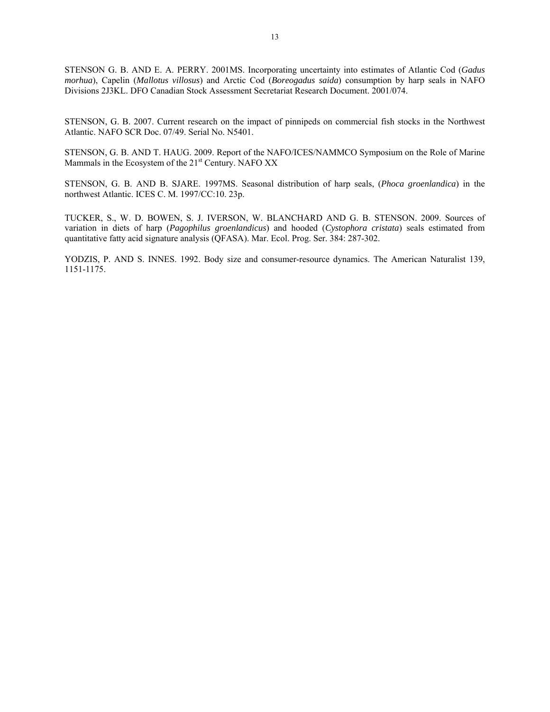STENSON G. B. AND E. A. PERRY. 2001MS. Incorporating uncertainty into estimates of Atlantic Cod (*Gadus morhua*), Capelin (*Mallotus villosus*) and Arctic Cod (*Boreogadus saida*) consumption by harp seals in NAFO Divisions 2J3KL. DFO Canadian Stock Assessment Secretariat Research Document. 2001/074.

STENSON, G. B. 2007. Current research on the impact of pinnipeds on commercial fish stocks in the Northwest Atlantic. NAFO SCR Doc. 07/49. Serial No. N5401.

STENSON, G. B. AND T. HAUG. 2009. Report of the NAFO/ICES/NAMMCO Symposium on the Role of Marine Mammals in the Ecosystem of the 21<sup>st</sup> Century. NAFO XX

STENSON, G. B. AND B. SJARE. 1997MS. Seasonal distribution of harp seals, (*Phoca groenlandica*) in the northwest Atlantic. ICES C. M. 1997/CC:10. 23p.

TUCKER, S., W. D. BOWEN, S. J. IVERSON, W. BLANCHARD AND G. B. STENSON. 2009. Sources of variation in diets of harp (*Pagophilus groenlandicus*) and hooded (*Cystophora cristata*) seals estimated from quantitative fatty acid signature analysis (QFASA). Mar. Ecol. Prog. Ser. 384: 287-302.

YODZIS, P. AND S. INNES. 1992. Body size and consumer-resource dynamics. The American Naturalist 139, 1151-1175.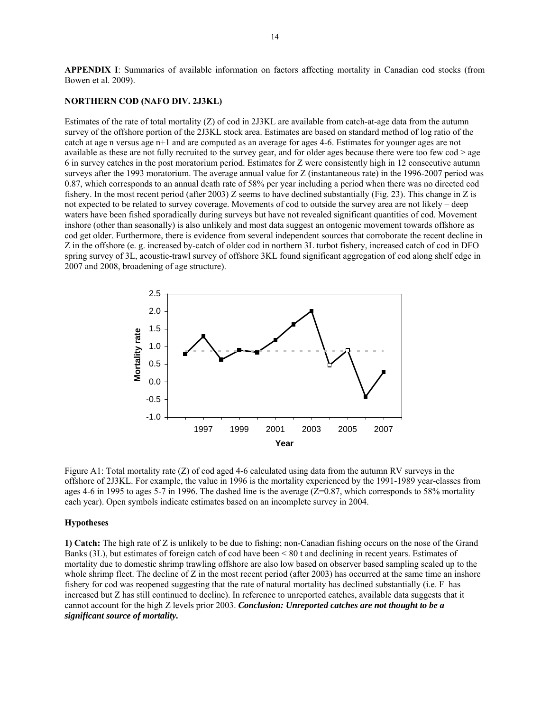**APPENDIX I**: Summaries of available information on factors affecting mortality in Canadian cod stocks (from Bowen et al. 2009).

## **NORTHERN COD (NAFO DIV. 2J3KL)**

Estimates of the rate of total mortality (Z) of cod in 2J3KL are available from catch-at-age data from the autumn survey of the offshore portion of the 2J3KL stock area. Estimates are based on standard method of log ratio of the catch at age n versus age n+1 and are computed as an average for ages 4-6. Estimates for younger ages are not available as these are not fully recruited to the survey gear, and for older ages because there were too few cod > age 6 in survey catches in the post moratorium period. Estimates for Z were consistently high in 12 consecutive autumn surveys after the 1993 moratorium. The average annual value for Z (instantaneous rate) in the 1996-2007 period was 0.87, which corresponds to an annual death rate of 58% per year including a period when there was no directed cod fishery. In the most recent period (after 2003) Z seems to have declined substantially (Fig. 23). This change in Z is not expected to be related to survey coverage. Movements of cod to outside the survey area are not likely – deep waters have been fished sporadically during surveys but have not revealed significant quantities of cod. Movement inshore (other than seasonally) is also unlikely and most data suggest an ontogenic movement towards offshore as cod get older. Furthermore, there is evidence from several independent sources that corroborate the recent decline in Z in the offshore (e. g. increased by-catch of older cod in northern 3L turbot fishery, increased catch of cod in DFO spring survey of 3L, acoustic-trawl survey of offshore 3KL found significant aggregation of cod along shelf edge in 2007 and 2008, broadening of age structure).



Figure A1: Total mortality rate (Z) of cod aged 4-6 calculated using data from the autumn RV surveys in the offshore of 2J3KL. For example, the value in 1996 is the mortality experienced by the 1991-1989 year-classes from ages 4-6 in 1995 to ages 5-7 in 1996. The dashed line is the average  $(Z=0.87)$ , which corresponds to 58% mortality each year). Open symbols indicate estimates based on an incomplete survey in 2004.

#### **Hypotheses**

**1) Catch:** The high rate of Z is unlikely to be due to fishing; non-Canadian fishing occurs on the nose of the Grand Banks (3L), but estimates of foreign catch of cod have been < 80 t and declining in recent years. Estimates of mortality due to domestic shrimp trawling offshore are also low based on observer based sampling scaled up to the whole shrimp fleet. The decline of Z in the most recent period (after 2003) has occurred at the same time an inshore fishery for cod was reopened suggesting that the rate of natural mortality has declined substantially (i.e. F has increased but Z has still continued to decline). In reference to unreported catches, available data suggests that it cannot account for the high Z levels prior 2003. *Conclusion: Unreported catches are not thought to be a significant source of mortality.*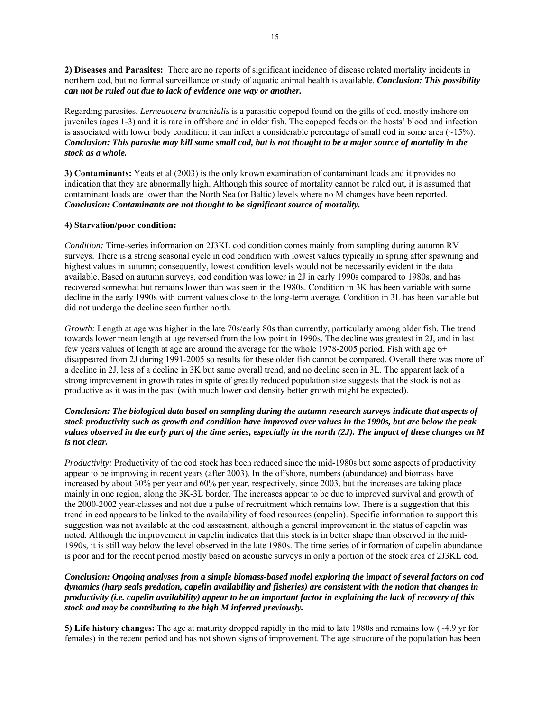**2) Diseases and Parasites:** There are no reports of significant incidence of disease related mortality incidents in northern cod, but no formal surveillance or study of aquatic animal health is available. *Conclusion: This possibility can not be ruled out due to lack of evidence one way or another.*

Regarding parasites, *Lerneaocera branchialis* is a parasitic copepod found on the gills of cod, mostly inshore on juveniles (ages 1-3) and it is rare in offshore and in older fish. The copepod feeds on the hosts' blood and infection is associated with lower body condition; it can infect a considerable percentage of small cod in some area  $(\sim 15\%)$ . *Conclusion: This parasite may kill some small cod, but is not thought to be a major source of mortality in the stock as a whole.* 

**3) Contaminants:** Yeats et al (2003) is the only known examination of contaminant loads and it provides no indication that they are abnormally high. Although this source of mortality cannot be ruled out, it is assumed that contaminant loads are lower than the North Sea (or Baltic) levels where no M changes have been reported. *Conclusion: Contaminants are not thought to be significant source of mortality.* 

## **4) Starvation/poor condition:**

*Condition:* Time-series information on 2J3KL cod condition comes mainly from sampling during autumn RV surveys. There is a strong seasonal cycle in cod condition with lowest values typically in spring after spawning and highest values in autumn; consequently, lowest condition levels would not be necessarily evident in the data available. Based on autumn surveys, cod condition was lower in 2J in early 1990s compared to 1980s, and has recovered somewhat but remains lower than was seen in the 1980s. Condition in 3K has been variable with some decline in the early 1990s with current values close to the long-term average. Condition in 3L has been variable but did not undergo the decline seen further north.

*Growth:* Length at age was higher in the late 70s/early 80s than currently, particularly among older fish. The trend towards lower mean length at age reversed from the low point in 1990s. The decline was greatest in 2J, and in last few years values of length at age are around the average for the whole 1978-2005 period. Fish with age 6+ disappeared from 2J during 1991-2005 so results for these older fish cannot be compared*.* Overall there was more of a decline in 2J, less of a decline in 3K but same overall trend, and no decline seen in 3L. The apparent lack of a strong improvement in growth rates in spite of greatly reduced population size suggests that the stock is not as productive as it was in the past (with much lower cod density better growth might be expected).

# *Conclusion: The biological data based on sampling during the autumn research surveys indicate that aspects of stock productivity such as growth and condition have improved over values in the 1990s, but are below the peak values observed in the early part of the time series, especially in the north (2J). The impact of these changes on M is not clear.*

*Productivity:* Productivity of the cod stock has been reduced since the mid-1980s but some aspects of productivity appear to be improving in recent years (after 2003). In the offshore, numbers (abundance) and biomass have increased by about 30% per year and 60% per year, respectively, since 2003, but the increases are taking place mainly in one region, along the 3K-3L border. The increases appear to be due to improved survival and growth of the 2000-2002 year-classes and not due a pulse of recruitment which remains low. There is a suggestion that this trend in cod appears to be linked to the availability of food resources (capelin). Specific information to support this suggestion was not available at the cod assessment, although a general improvement in the status of capelin was noted. Although the improvement in capelin indicates that this stock is in better shape than observed in the mid-1990s, it is still way below the level observed in the late 1980s. The time series of information of capelin abundance is poor and for the recent period mostly based on acoustic surveys in only a portion of the stock area of 2J3KL cod.

# *Conclusion: Ongoing analyses from a simple biomass-based model exploring the impact of several factors on cod dynamics (harp seals predation, capelin availability and fisheries) are consistent with the notion that changes in productivity (i.e. capelin availability) appear to be an important factor in explaining the lack of recovery of this stock and may be contributing to the high M inferred previously.*

**5) Life history changes:** The age at maturity dropped rapidly in the mid to late 1980s and remains low (~4.9 yr for females) in the recent period and has not shown signs of improvement. The age structure of the population has been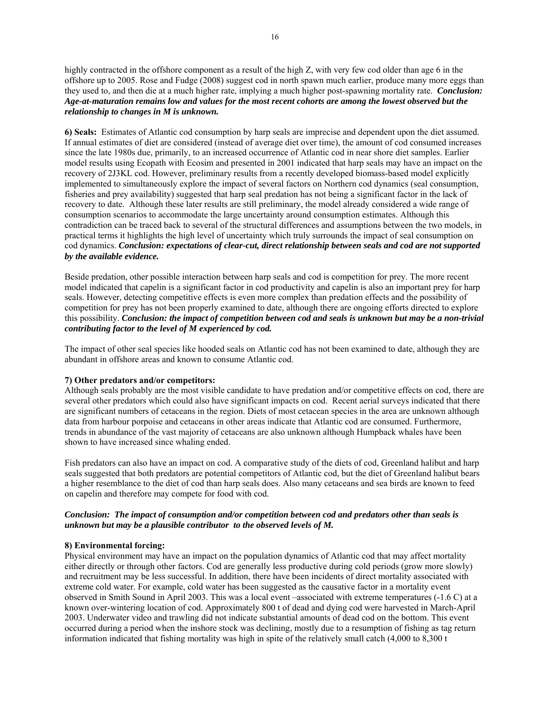highly contracted in the offshore component as a result of the high Z, with very few cod older than age 6 in the offshore up to 2005. Rose and Fudge (2008) suggest cod in north spawn much earlier, produce many more eggs than they used to, and then die at a much higher rate, implying a much higher post-spawning mortality rate. *Conclusion: Age-at-maturation remains low and values for the most recent cohorts are among the lowest observed but the relationship to changes in M is unknown.* 

**6) Seals:** Estimates of Atlantic cod consumption by harp seals are imprecise and dependent upon the diet assumed. If annual estimates of diet are considered (instead of average diet over time), the amount of cod consumed increases since the late 1980s due, primarily, to an increased occurrence of Atlantic cod in near shore diet samples. Earlier model results using Ecopath with Ecosim and presented in 2001 indicated that harp seals may have an impact on the recovery of 2J3KL cod. However, preliminary results from a recently developed biomass-based model explicitly implemented to simultaneously explore the impact of several factors on Northern cod dynamics (seal consumption, fisheries and prey availability) suggested that harp seal predation has not being a significant factor in the lack of recovery to date. Although these later results are still preliminary, the model already considered a wide range of consumption scenarios to accommodate the large uncertainty around consumption estimates. Although this contradiction can be traced back to several of the structural differences and assumptions between the two models, in practical terms it highlights the high level of uncertainty which truly surrounds the impact of seal consumption on cod dynamics. *Conclusion: expectations of clear-cut, direct relationship between seals and cod are not supported by the available evidence.* 

Beside predation, other possible interaction between harp seals and cod is competition for prey. The more recent model indicated that capelin is a significant factor in cod productivity and capelin is also an important prey for harp seals. However, detecting competitive effects is even more complex than predation effects and the possibility of competition for prey has not been properly examined to date, although there are ongoing efforts directed to explore this possibility. *Conclusion: the impact of competition between cod and seals is unknown but may be a non-trivial contributing factor to the level of M experienced by cod.*

The impact of other seal species like hooded seals on Atlantic cod has not been examined to date, although they are abundant in offshore areas and known to consume Atlantic cod.

## **7) Other predators and/or competitors:**

Although seals probably are the most visible candidate to have predation and/or competitive effects on cod, there are several other predators which could also have significant impacts on cod. Recent aerial surveys indicated that there are significant numbers of cetaceans in the region. Diets of most cetacean species in the area are unknown although data from harbour porpoise and cetaceans in other areas indicate that Atlantic cod are consumed. Furthermore, trends in abundance of the vast majority of cetaceans are also unknown although Humpback whales have been shown to have increased since whaling ended.

Fish predators can also have an impact on cod. A comparative study of the diets of cod, Greenland halibut and harp seals suggested that both predators are potential competitors of Atlantic cod, but the diet of Greenland halibut bears a higher resemblance to the diet of cod than harp seals does. Also many cetaceans and sea birds are known to feed on capelin and therefore may compete for food with cod.

# *Conclusion: The impact of consumption and/or competition between cod and predators other than seals is unknown but may be a plausible contributor to the observed levels of M.*

### **8) Environmental forcing:**

Physical environment may have an impact on the population dynamics of Atlantic cod that may affect mortality either directly or through other factors. Cod are generally less productive during cold periods (grow more slowly) and recruitment may be less successful. In addition, there have been incidents of direct mortality associated with extreme cold water. For example, cold water has been suggested as the causative factor in a mortality event observed in Smith Sound in April 2003. This was a local event –associated with extreme temperatures (-1.6 C) at a known over-wintering location of cod. Approximately 800 t of dead and dying cod were harvested in March-April 2003. Underwater video and trawling did not indicate substantial amounts of dead cod on the bottom. This event occurred during a period when the inshore stock was declining, mostly due to a resumption of fishing as tag return information indicated that fishing mortality was high in spite of the relatively small catch (4,000 to 8,300 t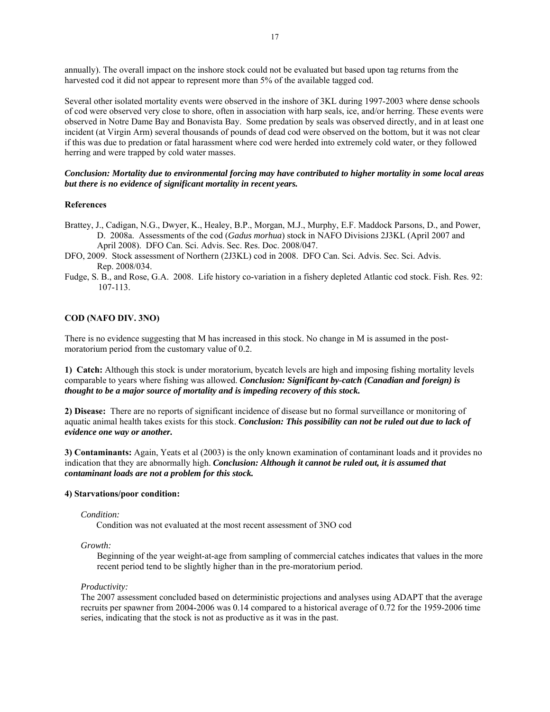annually). The overall impact on the inshore stock could not be evaluated but based upon tag returns from the harvested cod it did not appear to represent more than 5% of the available tagged cod.

Several other isolated mortality events were observed in the inshore of 3KL during 1997-2003 where dense schools of cod were observed very close to shore, often in association with harp seals, ice, and/or herring. These events were observed in Notre Dame Bay and Bonavista Bay. Some predation by seals was observed directly, and in at least one incident (at Virgin Arm) several thousands of pounds of dead cod were observed on the bottom, but it was not clear if this was due to predation or fatal harassment where cod were herded into extremely cold water, or they followed herring and were trapped by cold water masses.

## *Conclusion: Mortality due to environmental forcing may have contributed to higher mortality in some local areas but there is no evidence of significant mortality in recent years.*

### **References**

- Brattey, J., Cadigan, N.G., Dwyer, K., Healey, B.P., Morgan, M.J., Murphy, E.F. Maddock Parsons, D., and Power, D. 2008a. Assessments of the cod (*Gadus morhua*) stock in NAFO Divisions 2J3KL (April 2007 and April 2008). DFO Can. Sci. Advis. Sec. Res. Doc. 2008/047.
- DFO, 2009. Stock assessment of Northern (2J3KL) cod in 2008. DFO Can. Sci. Advis. Sec. Sci. Advis. Rep. 2008/034.
- Fudge, S. B., and Rose, G.A. 2008. Life history co-variation in a fishery depleted Atlantic cod stock. Fish. Res. 92: 107-113.

### **COD (NAFO DIV. 3NO)**

There is no evidence suggesting that M has increased in this stock. No change in M is assumed in the postmoratorium period from the customary value of 0.2.

**1) Catch:** Although this stock is under moratorium, bycatch levels are high and imposing fishing mortality levels comparable to years where fishing was allowed. *Conclusion: Significant by-catch (Canadian and foreign) is thought to be a major source of mortality and is impeding recovery of this stock.* 

**2) Disease:** There are no reports of significant incidence of disease but no formal surveillance or monitoring of aquatic animal health takes exists for this stock. *Conclusion: This possibility can not be ruled out due to lack of evidence one way or another.*

**3) Contaminants:** Again, Yeats et al (2003) is the only known examination of contaminant loads and it provides no indication that they are abnormally high. *Conclusion: Although it cannot be ruled out, it is assumed that contaminant loads are not a problem for this stock.* 

## **4) Starvations/poor condition:**

### *Condition:*

Condition was not evaluated at the most recent assessment of 3NO cod

### *Growth:*

Beginning of the year weight-at-age from sampling of commercial catches indicates that values in the more recent period tend to be slightly higher than in the pre-moratorium period.

#### *Productivity:*

The 2007 assessment concluded based on deterministic projections and analyses using ADAPT that the average recruits per spawner from 2004-2006 was 0.14 compared to a historical average of 0.72 for the 1959-2006 time series, indicating that the stock is not as productive as it was in the past.